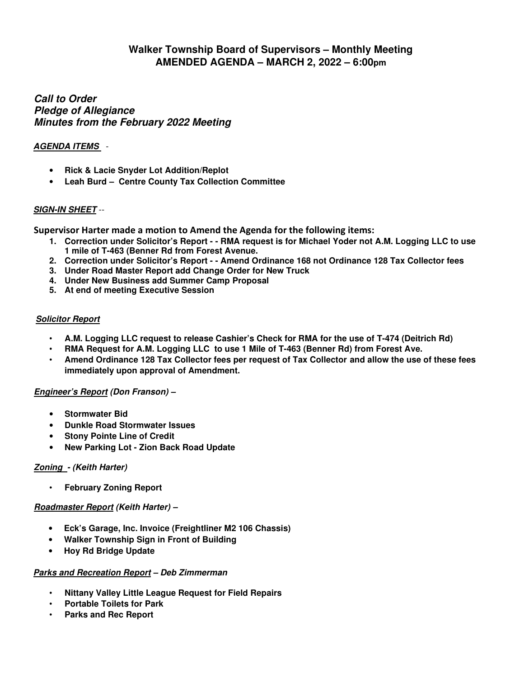# **Walker Township Board of Supervisors – Monthly Meeting AMENDED AGENDA – MARCH 2, 2022 – 6:00pm**

### **Call to Order Pledge of Allegiance Minutes from the February 2022 Meeting**

### **AGENDA ITEMS** -

- **Rick & Lacie Snyder Lot Addition/Replot**
- **Leah Burd Centre County Tax Collection Committee**

## **SIGN-IN SHEET** --

**Supervisor Harter made a motion to Amend the Agenda for the following items:**

- **1. Correction under Solicitor's Report - RMA request is for Michael Yoder not A.M. Logging LLC to use 1 mile of T-463 (Benner Rd from Forest Avenue.**
- **2. Correction under Solicitor's Report - Amend Ordinance 168 not Ordinance 128 Tax Collector fees**
- **3. Under Road Master Report add Change Order for New Truck**
- **4. Under New Business add Summer Camp Proposal**
- **5. At end of meeting Executive Session**

### **Solicitor Report**

- **A.M. Logging LLC request to release Cashier's Check for RMA for the use of T-474 (Deitrich Rd)**
- **RMA Request for A.M. Logging LLC to use 1 Mile of T-463 (Benner Rd) from Forest Ave.**
- **Amend Ordinance 128 Tax Collector fees per request of Tax Collector and allow the use of these fees immediately upon approval of Amendment.**

### **Engineer's Report (Don Franson) –**

- **Stormwater Bid**
- **Dunkle Road Stormwater Issues**
- **Stony Pointe Line of Credit**
- **New Parking Lot Zion Back Road Update**

### **Zoning - (Keith Harter)**

• **February Zoning Report** 

### **Roadmaster Report (Keith Harter) –**

- **Eck's Garage, Inc. Invoice (Freightliner M2 106 Chassis)**
- **Walker Township Sign in Front of Building**
- **Hoy Rd Bridge Update**

#### **Parks and Recreation Report – Deb Zimmerman**

- **Nittany Valley Little League Request for Field Repairs**
- **Portable Toilets for Park**
- **Parks and Rec Report**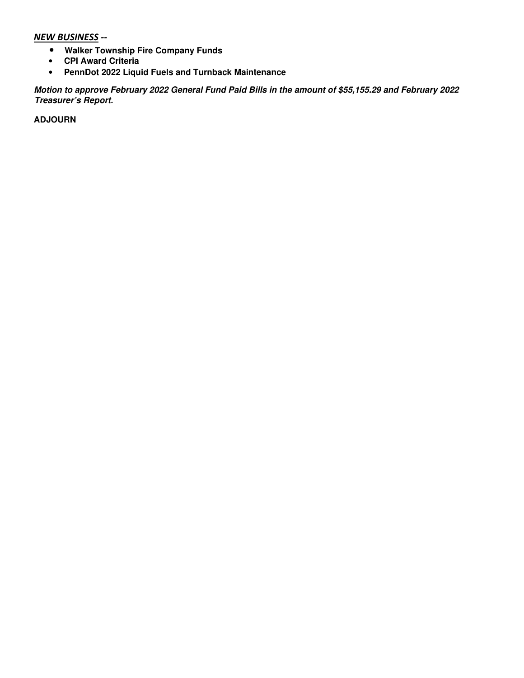#### *NEW BUSINESS --*

- **Walker Township Fire Company Funds**
- **CPI Award Criteria**
- **PennDot 2022 Liquid Fuels and Turnback Maintenance**

**Motion to approve February 2022 General Fund Paid Bills in the amount of \$55,155.29 and February 2022 Treasurer's Report.** 

**ADJOURN**